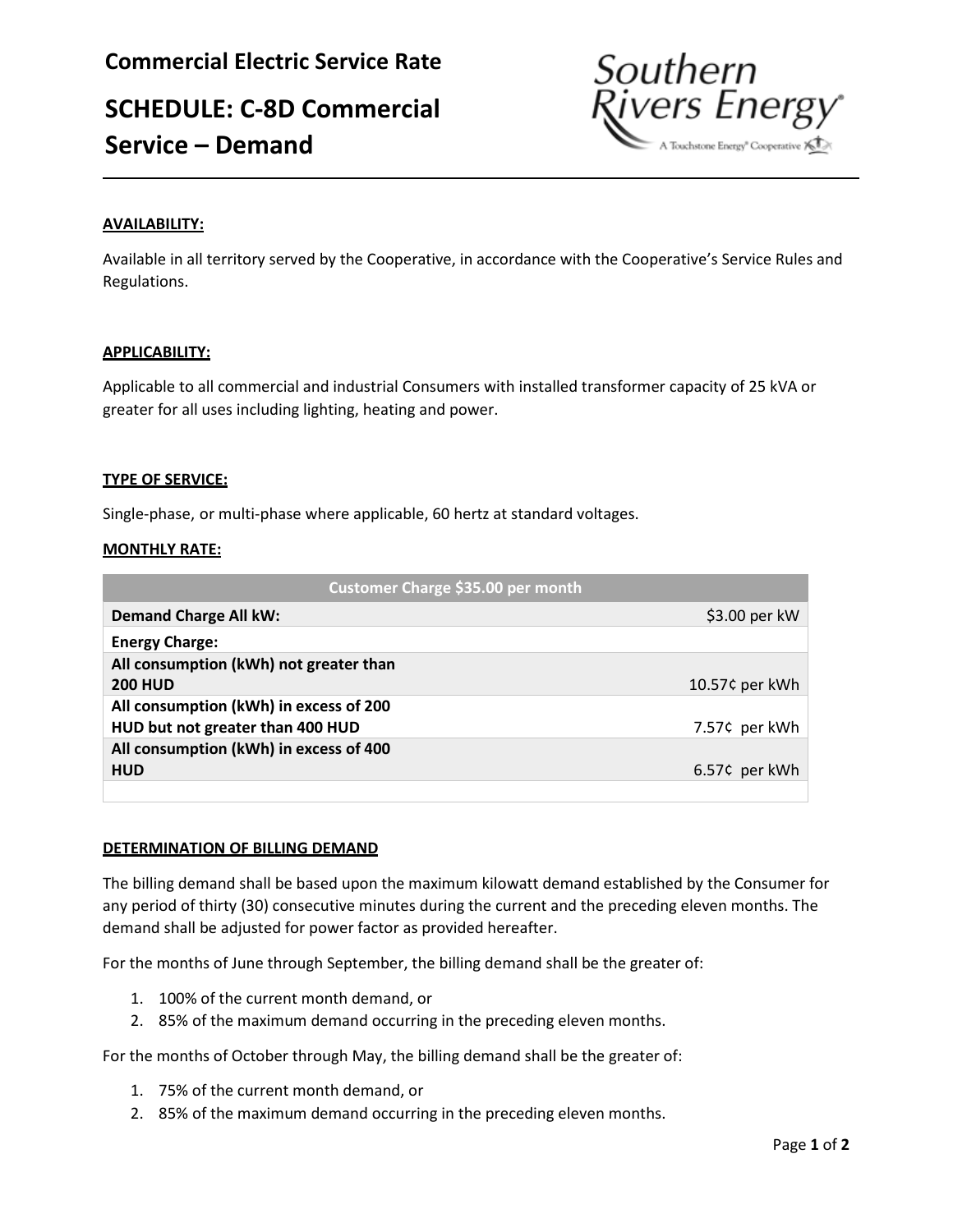# **SCHEDULE: C-8D Commercial Service – Demand**



## **AVAILABILITY:**

Available in all territory served by the Cooperative, in accordance with the Cooperative's Service Rules and Regulations.

## **APPLICABILITY:**

Applicable to all commercial and industrial Consumers with installed transformer capacity of 25 kVA or greater for all uses including lighting, heating and power.

## **TYPE OF SERVICE:**

Single-phase, or multi-phase where applicable, 60 hertz at standard voltages.

## **MONTHLY RATE:**

| Customer Charge \$35.00 per month      |                |
|----------------------------------------|----------------|
| <b>Demand Charge All kW:</b>           | \$3.00 per kW  |
| <b>Energy Charge:</b>                  |                |
| All consumption (kWh) not greater than |                |
| <b>200 HUD</b>                         | 10.57¢ per kWh |
| All consumption (kWh) in excess of 200 |                |
| HUD but not greater than 400 HUD       | 7.57¢ per kWh  |
| All consumption (kWh) in excess of 400 |                |
| <b>HUD</b>                             | 6.57¢ per kWh  |
|                                        |                |

### **DETERMINATION OF BILLING DEMAND**

The billing demand shall be based upon the maximum kilowatt demand established by the Consumer for any period of thirty (30) consecutive minutes during the current and the preceding eleven months. The demand shall be adjusted for power factor as provided hereafter.

For the months of June through September, the billing demand shall be the greater of:

- 1. 100% of the current month demand, or
- 2. 85% of the maximum demand occurring in the preceding eleven months.

For the months of October through May, the billing demand shall be the greater of:

- 1. 75% of the current month demand, or
- 2. 85% of the maximum demand occurring in the preceding eleven months.